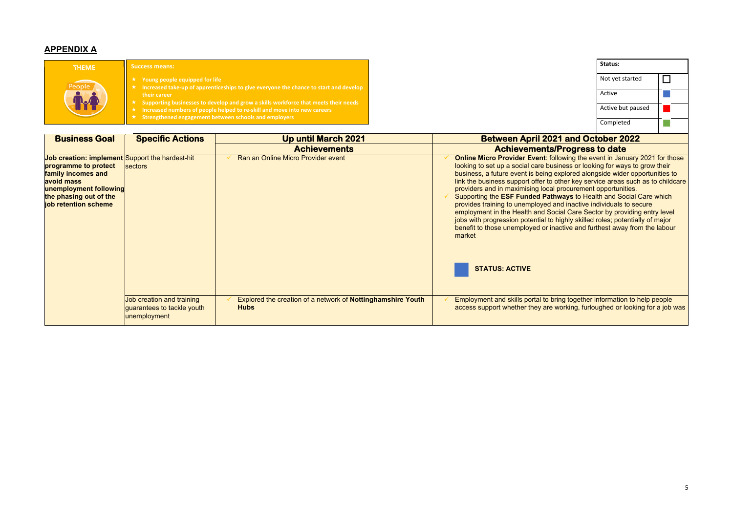#### **APPENDIX A**

| <b>Business Goal</b>                                                                                                                                                                           | <b>Specific Actions</b>                                                 | <b>Up until March 2021</b>                                                 | <b>Between April 2021 and October 2022</b>                                                                                                                                                                                                                                                                                                                                                                                                                                                                                                                                                                                                                                                                                                                                                 |
|------------------------------------------------------------------------------------------------------------------------------------------------------------------------------------------------|-------------------------------------------------------------------------|----------------------------------------------------------------------------|--------------------------------------------------------------------------------------------------------------------------------------------------------------------------------------------------------------------------------------------------------------------------------------------------------------------------------------------------------------------------------------------------------------------------------------------------------------------------------------------------------------------------------------------------------------------------------------------------------------------------------------------------------------------------------------------------------------------------------------------------------------------------------------------|
|                                                                                                                                                                                                |                                                                         | <b>Achievements</b>                                                        | <b>Achievements/Progress to date</b>                                                                                                                                                                                                                                                                                                                                                                                                                                                                                                                                                                                                                                                                                                                                                       |
| <b>Job creation: implement Support the hardest-hit</b><br>programme to protect<br>family incomes and<br>avoid mass<br>unemployment following<br>the phasing out of the<br>job retention scheme | sectors                                                                 | Ran an Online Micro Provider event                                         | Online Micro Provider Event: following the event in January 2021 for those<br>looking to set up a social care business or looking for ways to grow their<br>business, a future event is being explored alongside wider opportunities to<br>link the business support offer to other key service areas such as to childcare<br>providers and in maximising local procurement opportunities.<br>Supporting the ESF Funded Pathways to Health and Social Care which<br>provides training to unemployed and inactive individuals to secure<br>employment in the Health and Social Care Sector by providing entry level<br>jobs with progression potential to highly skilled roles; potentially of major<br>benefit to those unemployed or inactive and furthest away from the labour<br>market |
|                                                                                                                                                                                                |                                                                         |                                                                            | <b>STATUS: ACTIVE</b>                                                                                                                                                                                                                                                                                                                                                                                                                                                                                                                                                                                                                                                                                                                                                                      |
|                                                                                                                                                                                                | Job creation and training<br>guarantees to tackle youth<br>unemployment | Explored the creation of a network of Nottinghamshire Youth<br><b>Hubs</b> | Employment and skills portal to bring together information to help people<br>access support whether they are working, furloughed or looking for a job was                                                                                                                                                                                                                                                                                                                                                                                                                                                                                                                                                                                                                                  |

|                                                                                                                                                                                                                                                                                                                                                                                                                                                                                                                                                                                                                                                                                                                   | Status:                                                                   |  |  |  |  |
|-------------------------------------------------------------------------------------------------------------------------------------------------------------------------------------------------------------------------------------------------------------------------------------------------------------------------------------------------------------------------------------------------------------------------------------------------------------------------------------------------------------------------------------------------------------------------------------------------------------------------------------------------------------------------------------------------------------------|---------------------------------------------------------------------------|--|--|--|--|
|                                                                                                                                                                                                                                                                                                                                                                                                                                                                                                                                                                                                                                                                                                                   | Not yet started                                                           |  |  |  |  |
|                                                                                                                                                                                                                                                                                                                                                                                                                                                                                                                                                                                                                                                                                                                   | Active                                                                    |  |  |  |  |
|                                                                                                                                                                                                                                                                                                                                                                                                                                                                                                                                                                                                                                                                                                                   | Active but paused                                                         |  |  |  |  |
|                                                                                                                                                                                                                                                                                                                                                                                                                                                                                                                                                                                                                                                                                                                   | Completed                                                                 |  |  |  |  |
| <b>Between April 2021 and October 2022</b>                                                                                                                                                                                                                                                                                                                                                                                                                                                                                                                                                                                                                                                                        |                                                                           |  |  |  |  |
| <b>Achievements/Progress to date</b>                                                                                                                                                                                                                                                                                                                                                                                                                                                                                                                                                                                                                                                                              |                                                                           |  |  |  |  |
| <b>Online Micro Provider Event:</b> following the event in January 2021 for those<br>looking to set up a social care business or looking for ways to grow their<br>business, a future event is being explored alongside wider opportunities to<br>link the business support offer to other key service areas such as to childcare<br>providers and in maximising local procurement opportunities.<br>Supporting the <b>ESF Funded Pathways</b> to Health and Social Care which<br>provides training to unemployed and inactive individuals to secure<br>employment in the Health and Social Care Sector by providing entry level<br>jobs with progression potential to highly skilled roles; potentially of major |                                                                           |  |  |  |  |
|                                                                                                                                                                                                                                                                                                                                                                                                                                                                                                                                                                                                                                                                                                                   | henefit to those unemployed or inactive and furthest away from the labour |  |  |  |  |

| <b>THEME</b> | <b>Success means:</b>                                                                                                                                                                                                                                                                                                                                                               |
|--------------|-------------------------------------------------------------------------------------------------------------------------------------------------------------------------------------------------------------------------------------------------------------------------------------------------------------------------------------------------------------------------------------|
| People       | Young people equipped for life<br>$\star$ Increased take-up of apprenticeships to give everyone the chance to start and develop<br>their career<br>$\star$ Supporting businesses to develop and grow a skills workforce that meets their needs<br>Increased numbers of people helped to re-skill and move into new careers<br>Strengthened engagement between schools and employers |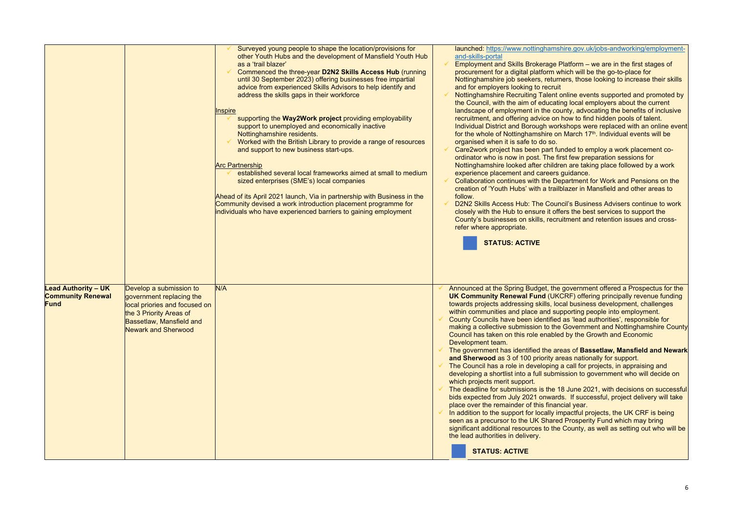|                                                                       |                                                                                                                                                                           | Surveyed young people to shape the location/provisions for<br>other Youth Hubs and the development of Mansfield Youth Hub<br>as a 'trail blazer'<br>Commenced the three-year D2N2 Skills Access Hub (running<br>until 30 September 2023) offering businesses free impartial<br>advice from experienced Skills Advisors to help identify and<br>address the skills gaps in their workforce<br><b>Inspire</b><br>supporting the Way2Work project providing employability<br>support to unemployed and economically inactive<br>Nottinghamshire residents.<br>Worked with the British Library to provide a range of resources<br>and support to new business start-ups.<br><b>Arc Partnership</b><br>established several local frameworks aimed at small to medium<br>sized enterprises (SME's) local companies<br>Ahead of its April 2021 launch, Via in partnership with Business in the<br>Community devised a work introduction placement programme for<br>individuals who have experienced barriers to gaining employment | follow. | launched: https://www.nottinghamsh<br>and-skills-portal<br><b>Employment and Skills Brokerage P</b><br>procurement for a digital platform wl<br>Nottinghamshire job seekers, return<br>and for employers looking to recruit<br><b>Nottinghamshire Recruiting Talent of</b><br>the Council, with the aim of educatir<br>landscape of employment in the cou<br>recruitment, and offering advice on I<br><b>Individual District and Borough work</b><br>for the whole of Nottinghamshire on<br>organised when it is safe to do so.<br>Care2work project has been part fur<br>ordinator who is now in post. The fir-<br>Nottinghamshire looked after childre<br>experience placement and careers<br>Collaboration continues with the De<br>creation of 'Youth Hubs' with a trailb<br>D2N2 Skills Access Hub: The Coune<br>closely with the Hub to ensure it offer<br>County's businesses on skills, recru<br>refer where appropriate.<br><b>STATUS: ACTIVE</b> |
|-----------------------------------------------------------------------|---------------------------------------------------------------------------------------------------------------------------------------------------------------------------|-----------------------------------------------------------------------------------------------------------------------------------------------------------------------------------------------------------------------------------------------------------------------------------------------------------------------------------------------------------------------------------------------------------------------------------------------------------------------------------------------------------------------------------------------------------------------------------------------------------------------------------------------------------------------------------------------------------------------------------------------------------------------------------------------------------------------------------------------------------------------------------------------------------------------------------------------------------------------------------------------------------------------------|---------|------------------------------------------------------------------------------------------------------------------------------------------------------------------------------------------------------------------------------------------------------------------------------------------------------------------------------------------------------------------------------------------------------------------------------------------------------------------------------------------------------------------------------------------------------------------------------------------------------------------------------------------------------------------------------------------------------------------------------------------------------------------------------------------------------------------------------------------------------------------------------------------------------------------------------------------------------------|
| <b>Lead Authority - UK</b><br><b>Community Renewal</b><br><b>Fund</b> | Develop a submission to<br>government replacing the<br>local priories and focused on<br>the 3 Priority Areas of<br>Bassetlaw, Mansfield and<br><b>Newark and Sherwood</b> | N/A                                                                                                                                                                                                                                                                                                                                                                                                                                                                                                                                                                                                                                                                                                                                                                                                                                                                                                                                                                                                                         |         | Announced at the Spring Budget, the<br><b>UK Community Renewal Fund (UKC</b><br>towards projects addressing skills, loc<br>within communities and place and sup<br><b>County Councils have been identified</b><br>making a collective submission to the<br>Council has taken on this role enabled<br>Development team.<br>The government has identified the are<br>and Sherwood as 3 of 100 priority are<br>The Council has a role in developing a<br>developing a shortlist into a full submist<br>which projects merit support.<br>The deadline for submissions is the 18<br>bids expected from July 2021 onwards<br>place over the remainder of this finand<br>In addition to the support for locally im<br>seen as a precursor to the UK Shared<br>significant additional resources to the<br>the lead authorities in delivery.<br><b>STATUS: ACTIVE</b>                                                                                               |

nshire.gov.uk/jobs-andworking/employment-

- e Platform we are in the first stages of which will be the go-to-place for urners, those looking to increase their skills
- nt online events supported and promoted by ating local employers about the current county, advocating the benefits of inclusive on how to find hidden pools of talent.
- $\alpha$  orkshops were replaced with an online event on March 17<sup>th</sup>. Individual events will be
- funded to employ a work placement cofirst few preparation sessions for Idren are taking place followed by a work rs quidance.
- Department for Work and Pensions on the ailblazer in Mansfield and other areas to
- **uncil's Business Advisers continue to work** offers the best services to support the cruitment and retention issues and cross-

he government offered a Prospectus for the **JKCRF) offering principally revenue funding** local business development, challenges supporting people into employment. ed as 'lead authorities', responsible for he Government and Nottinghamshire County led by the Growth and Economic

- **Alterary of Bassetlaw, Mansfield and Newark** areas nationally for support.
- Ig a call for projects, in appraising and omission to government who will decide on
- $: 18$  June 2021, with decisions on successful ards. If successful, project delivery will take ancial year.
- impactful projects, the UK CRF is being red Prosperity Fund which may bring he County, as well as setting out who will be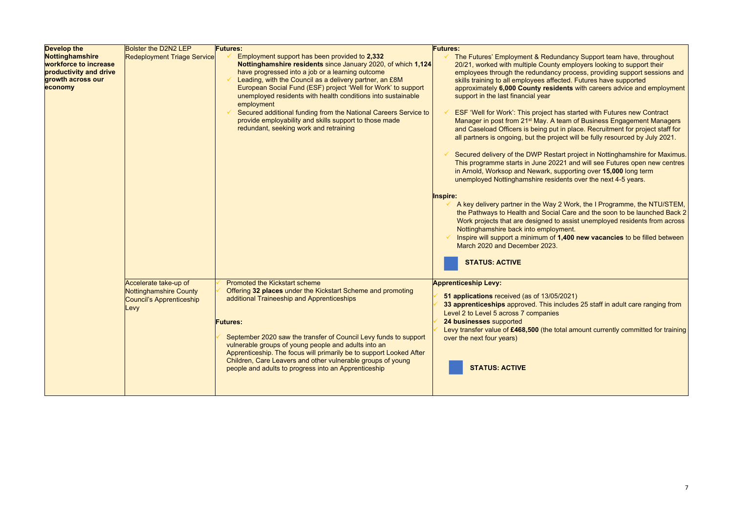| <b>Develop the</b>                                                                                 | <b>Bolster the D2N2 LEP</b>                                                                | <b>Futures:</b>                                                                                                                                                                                                                                                                                                                                                                                                                                                                                | <b>Futures:</b>                                                                                                                                                                                                                                                                      |
|----------------------------------------------------------------------------------------------------|--------------------------------------------------------------------------------------------|------------------------------------------------------------------------------------------------------------------------------------------------------------------------------------------------------------------------------------------------------------------------------------------------------------------------------------------------------------------------------------------------------------------------------------------------------------------------------------------------|--------------------------------------------------------------------------------------------------------------------------------------------------------------------------------------------------------------------------------------------------------------------------------------|
| Nottinghamshire<br>workforce to increase<br>productivity and drive<br>growth across our<br>economy | <b>Redeployment Triage Service</b>                                                         | Employment support has been provided to 2,332<br>Nottinghamshire residents since January 2020, of which 1,124<br>have progressed into a job or a learning outcome<br>Leading, with the Council as a delivery partner, an £8M<br>European Social Fund (ESF) project 'Well for Work' to support<br>unemployed residents with health conditions into sustainable<br>employment                                                                                                                    | The Futures' Employment & Redun<br>20/21, worked with multiple County<br>employees through the redundancy<br>skills training to all employees affed<br>approximately 6,000 County reside<br>support in the last financial year                                                       |
|                                                                                                    |                                                                                            | Secured additional funding from the National Careers Service to<br>provide employability and skills support to those made<br>redundant, seeking work and retraining                                                                                                                                                                                                                                                                                                                            | ESF 'Well for Work': This project ha<br>Manager in post from 21 <sup>st</sup> May. A te<br>and Caseload Officers is being put<br>all partners is ongoing, but the proje                                                                                                              |
|                                                                                                    |                                                                                            |                                                                                                                                                                                                                                                                                                                                                                                                                                                                                                | Secured delivery of the DWP Resta<br>This programme starts in June 2022<br>in Arnold, Worksop and Newark, su<br>unemployed Nottinghamshire reside                                                                                                                                    |
|                                                                                                    |                                                                                            |                                                                                                                                                                                                                                                                                                                                                                                                                                                                                                | <b>Inspire:</b><br>A key delivery partner in the Way 2<br>the Pathways to Health and Social<br>Work projects that are designed to<br>Nottinghamshire back into employr<br>Inspire will support a minimum of 1<br>March 2020 and December 2023.<br><b>STATUS: ACTIVE</b>              |
|                                                                                                    | Accelerate take-up of<br><b>Nottinghamshire County</b><br>Council's Apprenticeship<br>Levy | <b>Promoted the Kickstart scheme</b><br>Offering 32 places under the Kickstart Scheme and promoting<br>additional Traineeship and Apprenticeships<br><b>Futures:</b><br>September 2020 saw the transfer of Council Levy funds to support<br>vulnerable groups of young people and adults into an<br>Apprenticeship. The focus will primarily be to support Looked After<br>Children, Care Leavers and other vulnerable groups of young<br>people and adults to progress into an Apprenticeship | <b>Apprenticeship Levy:</b><br>51 applications received (as of 13/05/<br>33 apprenticeships approved. This ind<br>Level 2 to Level 5 across 7 companies<br>24 businesses supported<br>Levy transfer value of £468,500 (the tot<br>over the next four years)<br><b>STATUS: ACTIVE</b> |

undancy Support team have, throughout <sup>2</sup> ity employers looking to support their employees through the reppertured in the reduced to reduce the reduced to reduce the reduced substitutions and ected. Futures have supported idents with careers advice and employment

has started with Futures new Contract  $\lambda$  team of Business Engagement Managers ut in place. Recruitment for project staff for oject will be fully resourced by July 2021.

start project in Nottinghamshire for Maximus. 0221 and will see Futures open new centres supporting over 15,000 long term  $s$ idents over the next 4-5 years.

2 Work, the I Programme, the NTU/STEM,  $\frac{1}{2}$ ial Care and the soon to be launched Back 2 to assist unemployed residents from across ovment.

1,400 new vacancies to be filled between

**5/2021) 33 apprentices** 25 staff in adult care ranging from

total amount currently committed for training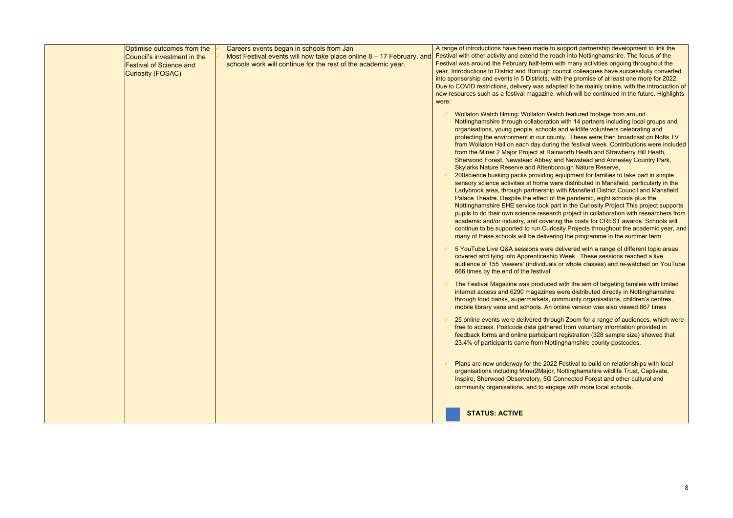| Optimise outcomes from the<br>Council's investment in the<br><b>Festival of Science and</b><br>Curiosity (FOSAC) | Careers events began in schools from Jan<br>Most Festival events will now take place online $8 - 17$ February, and<br>schools work will continue for the rest of the academic year. | were: | A range of introductions have been made to<br>Festival with other activity and extend the rea<br>Festival was around the February half-term v<br>year. Introductions to District and Borough co<br>into sponsorship and events in 5 Districts, wi<br>Due to COVID restrictions, delivery was ada<br>new resources such as a festival magazine,<br>Wollaton Watch filming: Wollaton Wat<br>Nottinghamshire through collaboration                                                                                                                                                                                                   |
|------------------------------------------------------------------------------------------------------------------|-------------------------------------------------------------------------------------------------------------------------------------------------------------------------------------|-------|-----------------------------------------------------------------------------------------------------------------------------------------------------------------------------------------------------------------------------------------------------------------------------------------------------------------------------------------------------------------------------------------------------------------------------------------------------------------------------------------------------------------------------------------------------------------------------------------------------------------------------------|
|                                                                                                                  |                                                                                                                                                                                     |       | organisations, young people, schools<br>protecting the environment in our cou<br>from Wollaton Hall on each day during<br>from the Miner 2 Major Project at Rair<br>Sherwood Forest, Newstead Abbey a<br><b>Skylarks Nature Reserve and Attenbo</b><br>200science busking packs providing a<br>sensory science activities at home we<br>Ladybrook area, through partnership<br>Palace Theatre. Despite the effect of<br>Nottinghamshire EHE service took pa<br>pupils to do their own science researd<br>academic and/or industry, and coverin<br>continue to be supported to run Curio<br>many of these schools will be deliveri |
|                                                                                                                  |                                                                                                                                                                                     |       | 5 YouTube Live Q&A sessions were of<br>covered and tying into Apprenticeship<br>audience of 155 'viewers' (individuals<br>666 times by the end of the festival                                                                                                                                                                                                                                                                                                                                                                                                                                                                    |
|                                                                                                                  |                                                                                                                                                                                     |       | The Festival Magazine was produced<br>internet access and 6290 magazines<br>through food banks, supermarkets, co<br>mobile library vans and schools. An o                                                                                                                                                                                                                                                                                                                                                                                                                                                                         |
|                                                                                                                  |                                                                                                                                                                                     |       | 25 online events were delivered throu<br>free to access. Postcode data gather<br>feedback forms and online participant<br>23.4% of participants came from Notti                                                                                                                                                                                                                                                                                                                                                                                                                                                                   |
|                                                                                                                  |                                                                                                                                                                                     |       | Plans are now underway for the 2022<br>organisations including Miner2Major,<br>Inspire, Sherwood Observatory, 5G C<br>community organisations, and to enga                                                                                                                                                                                                                                                                                                                                                                                                                                                                        |
|                                                                                                                  |                                                                                                                                                                                     |       | <b>STATUS: ACTIVE</b>                                                                                                                                                                                                                                                                                                                                                                                                                                                                                                                                                                                                             |

support partnership development to link the ach into Nottinghamshire. The focus of the with many activities ongoing throughout the ouncil colleagues have successfully converted ith the promise of at least one more for 2022. pted to be mainly online, with the introduction of which will be continued in the future. Highlights

tch featured footage from around n with 14 partners including local groups and and wildlife volunteers celebrating and inty. These were then broadcast on Notts TV g the festival week. Contributions were included nworth Heath and Strawberry Hill Heath, and Newstead and Annesley Country Park, **Skylarks Nature Reserve,** 

equipment for families to take part in simple ere distributed in Mansfield, particularly in the with Mansfield District Council and Mansfield the pandemic, eight schools plus the In the Curiosity Project This project supports ch project in collaboration with researchers from ng the costs for CREST awards. Schools will sity Projects throughout the academic year, and ng the programme in the summer term

delivered with a range of different topic areas Week. These sessions reached a live or whole classes) and re-watched on YouTube

I with the aim of targeting families with limited were distributed directly in Nottinghamshire ommunity organisations, children's centres, mline version was also viewed 867 times

200 ugh Zoom for a range of audiences, which were ed from voluntary information provided in  $t$  registration (328 sample size) showed that inghamshire county postcodes.

Plans are it are it are it for the 2021 for the 2022 Festival to build on relationships with local Nottinghamshire wildlife Trust, Captivate, Ionnected Forest and other cultural and age with more local schools.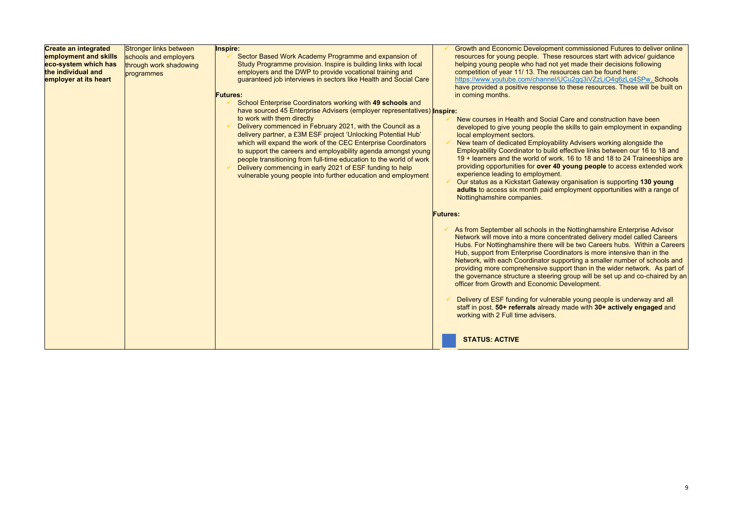| <b>Create an integrated</b> | Stronger links between | Inspire:                                                                | <b>Growth and Economic Development</b>                                         |
|-----------------------------|------------------------|-------------------------------------------------------------------------|--------------------------------------------------------------------------------|
| employment and skills       | schools and employers  | Sector Based Work Academy Programme and expansion of                    | resources for young people. These                                              |
| eco-system which has        | through work shadowing | Study Programme provision. Inspire is building links with local         | helping young people who had not y                                             |
| the individual and          | programmes             | employers and the DWP to provide vocational training and                | competition of year 11/13. The reso                                            |
| employer at its heart       |                        | guaranteed job interviews in sectors like Health and Social Care        | https://www.youtube.com/channel/U                                              |
|                             |                        | <b>Futures:</b>                                                         | have provided a positive response to<br>in coming months.                      |
|                             |                        | School Enterprise Coordinators working with 49 schools and              |                                                                                |
|                             |                        | have sourced 45 Enterprise Advisers (employer representatives) Inspire: |                                                                                |
|                             |                        | to work with them directly                                              |                                                                                |
|                             |                        | Delivery commenced in February 2021, with the Council as a              | New courses in Health and Social C                                             |
|                             |                        | delivery partner, a £3M ESF project 'Unlocking Potential Hub'           | developed to give young people the<br>local employment sectors.                |
|                             |                        | which will expand the work of the CEC Enterprise Coordinators           | New team of dedicated Employabilit                                             |
|                             |                        | to support the careers and employability agenda amongst young           | <b>Employability Coordinator to build e</b>                                    |
|                             |                        | people transitioning from full-time education to the world of work      | 19 + learners and the world of work                                            |
|                             |                        | Delivery commencing in early 2021 of ESF funding to help                | providing opportunities for over 40                                            |
|                             |                        | vulnerable young people into further education and employment           | experience leading to employment.                                              |
|                             |                        |                                                                         | Our status as a Kickstart Gateway of                                           |
|                             |                        |                                                                         | adults to access six month paid em                                             |
|                             |                        |                                                                         | Nottinghamshire companies.                                                     |
|                             |                        |                                                                         |                                                                                |
|                             |                        |                                                                         | <b>Futures:</b>                                                                |
|                             |                        |                                                                         |                                                                                |
|                             |                        |                                                                         | As from September all schools in the                                           |
|                             |                        |                                                                         | Network will move into a more conce                                            |
|                             |                        |                                                                         | Hubs. For Nottinghamshire there wil                                            |
|                             |                        |                                                                         | Hub, support from Enterprise Coordi                                            |
|                             |                        |                                                                         | Network, with each Coordinator supp                                            |
|                             |                        |                                                                         | providing more comprehensive supp                                              |
|                             |                        |                                                                         | the governance structure a steering                                            |
|                             |                        |                                                                         | officer from Growth and Economic D                                             |
|                             |                        |                                                                         |                                                                                |
|                             |                        |                                                                         | Delivery of ESF funding for vulneral<br>staff in post. 50+ referrals already r |
|                             |                        |                                                                         | working with 2 Full time advisers.                                             |
|                             |                        |                                                                         |                                                                                |
|                             |                        |                                                                         |                                                                                |
|                             |                        |                                                                         | <b>STATUS: ACTIVE</b>                                                          |
|                             |                        |                                                                         |                                                                                |

ent commissioned Futures to deliver online se resources start with advice/ guidance ot yet made their decisions following esources can be found here: https://www.youtube.com/channel/UCu2gq3iVZzLiO4q6zLq4SPw. Schools e to these resources. These will be built on

al Care and construction have been the skills to gain employment in expanding

bility Advisers working alongside the d effective links between our 16 to 18 and ork. 16 to 18 and 18 to 24 Traineeships are **40 young people** to access extended work

organisation is supporting **130 young advisor contract in a range of** employment opportunities with a range of

the Nottinghamshire Enterprise Advisor ncentrated delivery model called Careers will be two Careers hubs. Within a Careers Indinators is more intensive than in the upporting a smaller number of schools and upport than in the wider network. As part of ing group will be set up and co-chaired by an c Development.

erable young people is underway and all **state in post. 30+ actively engaged** and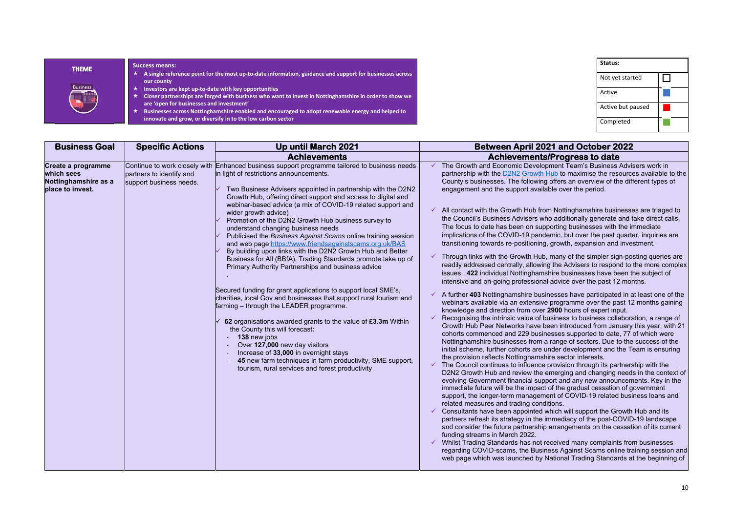| Status:           |  |
|-------------------|--|
| Not yet started   |  |
| Active            |  |
| Active but paused |  |
| Completed         |  |

## **Business And October 2022 Progress to date**

nent Team's Business Advisers work in ub to maximise the resources available to the offers an overview of the different types of le over the period.

Nottinghamshire businesses are triaged to additionally generate and take direct calls. orting businesses with the immediate mic, but over the past quarter, inquiries are growth, expansion and investment.

nany of the simpler sign-posting queries are the Advisers to respond to the more complex ire businesses have been the subject of advice over the past 12 months.

asses have participated in at least one of the programme over the past 12 months gaining **900** hours of expert input.

siness to business collaboration, a range of en introduced from January this year, with 21 sses supported to date, 77 of which were ange of sectors. Due to the success of the der development and the Team is ensuring the sector interests.

rovision through its partnership with the nerging and changing needs in the context of ort and any new announcements. Key in the f the gradual cessation of government nt of COVID-19 related business loans and

ich will support the Growth Hub and its mediacy of the post-COVID-19 landscape and arrangements on the cessation of its current

eived many complaints from businesses ss Against Scams online training session and ational Trading Standards at the beginning of

| <b>Business Goal</b>                                                         | <b>Specific Actions</b>                                                              | <b>Up until March 2021</b>                                                                                                                                                                                                                                                                                                                                                                                                                                                                                                                                                                                                                                                                                                                                                                                                                                                                                                                                                                                                                                                                                                                                                                                                                     | <b>Between April 2021 are</b>                                                                                                                                                                                                                                                                                                                                                                                                                                                                                                                                                                                                                                                                                                                                                                                                                                                                                                                                                                                                                                                                                                                                                                                                                                                                                                                                                                                                                                                                                                                                                                   |
|------------------------------------------------------------------------------|--------------------------------------------------------------------------------------|------------------------------------------------------------------------------------------------------------------------------------------------------------------------------------------------------------------------------------------------------------------------------------------------------------------------------------------------------------------------------------------------------------------------------------------------------------------------------------------------------------------------------------------------------------------------------------------------------------------------------------------------------------------------------------------------------------------------------------------------------------------------------------------------------------------------------------------------------------------------------------------------------------------------------------------------------------------------------------------------------------------------------------------------------------------------------------------------------------------------------------------------------------------------------------------------------------------------------------------------|-------------------------------------------------------------------------------------------------------------------------------------------------------------------------------------------------------------------------------------------------------------------------------------------------------------------------------------------------------------------------------------------------------------------------------------------------------------------------------------------------------------------------------------------------------------------------------------------------------------------------------------------------------------------------------------------------------------------------------------------------------------------------------------------------------------------------------------------------------------------------------------------------------------------------------------------------------------------------------------------------------------------------------------------------------------------------------------------------------------------------------------------------------------------------------------------------------------------------------------------------------------------------------------------------------------------------------------------------------------------------------------------------------------------------------------------------------------------------------------------------------------------------------------------------------------------------------------------------|
|                                                                              |                                                                                      | <b>Achievements</b>                                                                                                                                                                                                                                                                                                                                                                                                                                                                                                                                                                                                                                                                                                                                                                                                                                                                                                                                                                                                                                                                                                                                                                                                                            | <b>Achievements/Prog</b>                                                                                                                                                                                                                                                                                                                                                                                                                                                                                                                                                                                                                                                                                                                                                                                                                                                                                                                                                                                                                                                                                                                                                                                                                                                                                                                                                                                                                                                                                                                                                                        |
| Create a programme<br>which sees<br>Nottinghamshire as a<br>place to invest. | Continue to work closely with<br>partners to identify and<br>support business needs. | Enhanced business support programme tailored to business needs<br>in light of restrictions announcements.<br>Two Business Advisers appointed in partnership with the D2N2<br>Growth Hub, offering direct support and access to digital and<br>webinar-based advice (a mix of COVID-19 related support and<br>wider growth advice)<br>Promotion of the D2N2 Growth Hub business survey to<br>understand changing business needs<br>Publicised the Business Against Scams online training session<br>and web page https://www.friendsagainstscams.org.uk/BAS<br>By building upon links with the D2N2 Growth Hub and Better<br>Business for All (BBfA), Trading Standards promote take up of<br>Primary Authority Partnerships and business advice<br>Secured funding for grant applications to support local SME's,<br>charities, local Gov and businesses that support rural tourism and<br>farming – through the LEADER programme.<br>62 organisations awarded grants to the value of £3.3m Within<br>the County this will forecast:<br>138 new jobs<br>Over 127,000 new day visitors<br>Increase of 33,000 in overnight stays<br>45 new farm techniques in farm productivity, SME support,<br>tourism, rural services and forest productivity | The Growth and Economic Development<br>partnership with the <b>D2N2</b> Growth Hub to<br>County's businesses. The following offers<br>engagement and the support available ov<br>All contact with the Growth Hub from Nott<br>the Council's Business Advisers who add<br>The focus to date has been on supporting<br>implications of the COVID-19 pandemic, b<br>transitioning towards re-positioning, growt<br>Through links with the Growth Hub, many<br>readily addressed centrally, allowing the /<br>issues. 422 individual Nottinghamshire by<br>intensive and on-going professional advic<br>A further 403 Nottinghamshire businesses<br>webinars available via an extensive progr<br>knowledge and direction from over 2900 h<br>Recognising the intrinsic value of busines<br>Growth Hub Peer Networks have been int<br>cohorts commenced and 229 businesses<br>Nottinghamshire businesses from a range<br>initial scheme, further cohorts are under d<br>the provision reflects Nottinghamshire seo<br>The Council continues to influence provis<br>D2N2 Growth Hub and review the emergi<br>evolving Government financial support an<br>immediate future will be the impact of the<br>support, the longer-term management of<br>related measures and trading conditions.<br>Consultants have been appointed which v<br>partners refresh its strategy in the immedi<br>and consider the future partnership arrang<br>funding streams in March 2022.<br>✓ Whilst Trading Standards has not receive<br>regarding COVID-scams, the Business Ag<br>web page which was launched by Nationa |

| <b>THEME</b>    | <b>Success means:</b><br>A single reference point for the most up-to-date information, guidance and support for businesses across                                                                                                                                                                                                                                                                |
|-----------------|--------------------------------------------------------------------------------------------------------------------------------------------------------------------------------------------------------------------------------------------------------------------------------------------------------------------------------------------------------------------------------------------------|
| <b>Business</b> | our county<br>Investors are kept up-to-date with key opportunities<br>★<br>Closer partnerships are forged with business who want to invest in Nottinghamshire in order to show we<br>are 'open for businesses and investment'<br>Businesses across Nottinghamshire enabled and encouraged to adopt renewable energy and helped to<br>innovate and grow, or diversify in to the low carbon sector |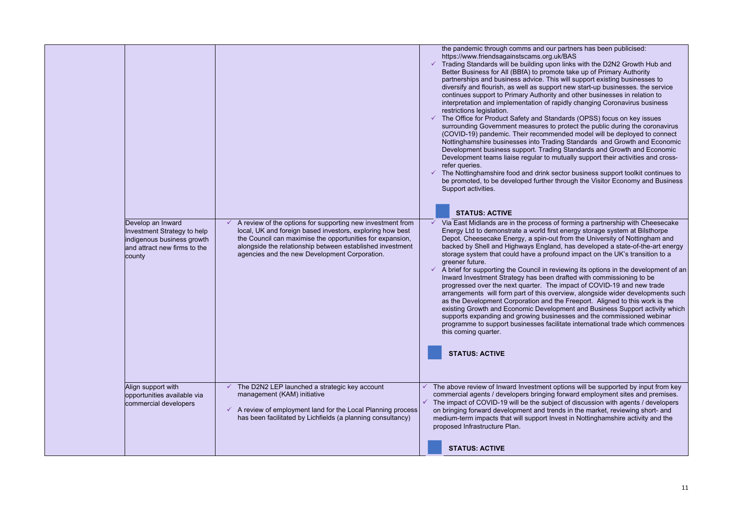| Develop an Inward<br>Investment Strategy to help<br>indigenous business growth<br>and attract new firms to the<br>county | A review of the options for supporting new investment from<br>local, UK and foreign based investors, exploring how best<br>the Council can maximise the opportunities for expansion,<br>alongside the relationship between established investment<br>agencies and the new Development Corporation. | the pandemic through comms and our<br>https://www.friendsagainstscams.org.<br>Trading Standards will be building upo<br>Better Business for All (BBfA) to prom<br>partnerships and business advice. Thi<br>diversify and flourish, as well as suppo<br>continues support to Primary Authority<br>interpretation and implementation of ra<br>restrictions legislation.<br>The Office for Product Safety and Sta<br>surrounding Government measures to<br>(COVID-19) pandemic. Their recomm<br>Nottinghamshire businesses into Trad<br>Development business support. Tradi<br>Development teams liaise regular to n<br>refer queries.<br>The Nottinghamshire food and drink s<br>be promoted, to be developed further<br>Support activities.<br><b>STATUS: ACTIVE</b><br>Via East Midlands are in the process<br>Energy Ltd to demonstrate a world firs<br>Depot. Cheesecake Energy, a spin-ou<br>backed by Shell and Highways Englar<br>storage system that could have a prof<br>greener future.<br>$\checkmark$ A brief for supporting the Council in re<br>Inward Investment Strategy has been<br>progressed over the next quarter. The<br>arrangements will form part of this ov<br>as the Development Corporation and<br>existing Growth and Economic Develo<br>supports expanding and growing busi<br>programme to support businesses fac<br>this coming quarter.<br><b>STATUS: ACTIVE</b> |
|--------------------------------------------------------------------------------------------------------------------------|----------------------------------------------------------------------------------------------------------------------------------------------------------------------------------------------------------------------------------------------------------------------------------------------------|------------------------------------------------------------------------------------------------------------------------------------------------------------------------------------------------------------------------------------------------------------------------------------------------------------------------------------------------------------------------------------------------------------------------------------------------------------------------------------------------------------------------------------------------------------------------------------------------------------------------------------------------------------------------------------------------------------------------------------------------------------------------------------------------------------------------------------------------------------------------------------------------------------------------------------------------------------------------------------------------------------------------------------------------------------------------------------------------------------------------------------------------------------------------------------------------------------------------------------------------------------------------------------------------------------------------------------------------------------------------------------------------|
| Align support with<br>opportunities available via<br>commercial developers                                               | The D2N2 LEP launched a strategic key account<br>management (KAM) initiative<br>$\checkmark$ A review of employment land for the Local Planning process<br>has been facilitated by Lichfields (a planning consultancy)                                                                             | The above review of Inward Investment<br>commercial agents / developers bringing<br>The impact of COVID-19 will be the subje<br>on bringing forward development and tre<br>medium-term impacts that will support In<br>proposed Infrastructure Plan.                                                                                                                                                                                                                                                                                                                                                                                                                                                                                                                                                                                                                                                                                                                                                                                                                                                                                                                                                                                                                                                                                                                                           |
|                                                                                                                          |                                                                                                                                                                                                                                                                                                    | <b>STATUS: ACTIVE</b>                                                                                                                                                                                                                                                                                                                                                                                                                                                                                                                                                                                                                                                                                                                                                                                                                                                                                                                                                                                                                                                                                                                                                                                                                                                                                                                                                                          |

r partners has been publicised:  $uk/BAS$ 

on links with the D2N2 Growth Hub and note take up of Primary Authority is will support existing businesses to ort new start-up businesses. the service y and other businesses in relation to apidly changing Coronavirus business

ndards (OPSS) focus on key issues protect the public during the coronavirus ended model will be deployed to connect Ing Standards and Growth and Economic ng Standards and Growth and Economic nutually support their activities and cross-

ector business support toolkit continues to through the Visitor Economy and Business

of forming a partnership with Cheesecake Et energy storage system at Bilsthorpe It from the University of Nottingham and hacked by Shell and Higherian and Haighways Higherian and Higherian and Higherian and a state-of-the-art energy found impact on the UK's transition to a

eviewing its options in the development of an drafted with commissioning to be e impact of COVID-19 and new trade verview, alongside wider developments such the Freeport. Aligned to this work is the poment and Business Support activity which nesses and the commissioned webinar exilitate international trade which commences

options will be supported by input from key forward employment sites and premises. ect of discussion with agents / developers nds in the market, reviewing short- and west in Nottinghamshire activity and the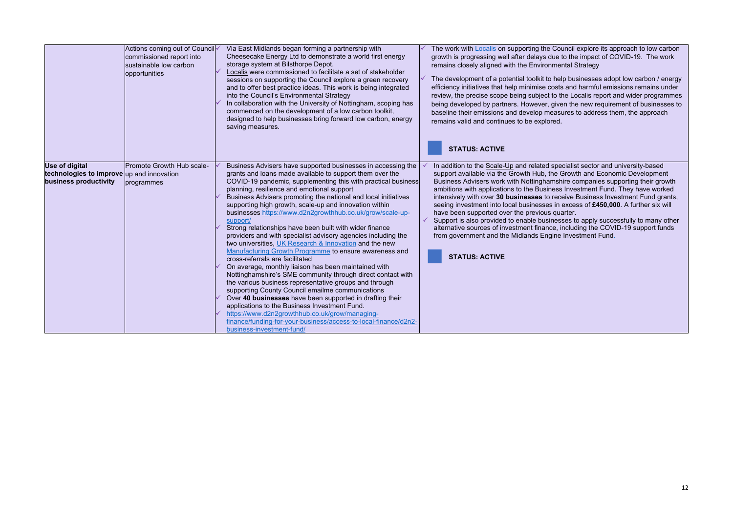|                                                                                             | Actions coming out of Council<br>commissioned report into<br>sustainable low carbon<br>opportunities | Via East Midlands began forming a partnership with<br>Cheesecake Energy Ltd to demonstrate a world first energy<br>storage system at Bilsthorpe Depot.<br>Localis were commissioned to facilitate a set of stakeholder<br>sessions on supporting the Council explore a green recovery<br>and to offer best practice ideas. This work is being integrated<br>into the Council's Environmental Strategy<br>In collaboration with the University of Nottingham, scoping has<br>commenced on the development of a low carbon toolkit,<br>designed to help businesses bring forward low carbon, energy<br>saving measures.                                                                                                                                                                                                                                                                                                                                                                                                                                                                                                                                                                                                               | The work with <b>Localis</b> on supporting the Cou<br>growth is progressing well after delays due to<br>remains closely aligned with the Environmen<br>The development of a potential toolkit to help<br>efficiency initiatives that help minimise costs<br>review, the precise scope being subject to th<br>being developed by partners. However, give<br>baseline their emissions and develop measu<br>remains valid and continues to be explored.<br><b>STATUS: ACTIVE</b>                           |
|---------------------------------------------------------------------------------------------|------------------------------------------------------------------------------------------------------|-------------------------------------------------------------------------------------------------------------------------------------------------------------------------------------------------------------------------------------------------------------------------------------------------------------------------------------------------------------------------------------------------------------------------------------------------------------------------------------------------------------------------------------------------------------------------------------------------------------------------------------------------------------------------------------------------------------------------------------------------------------------------------------------------------------------------------------------------------------------------------------------------------------------------------------------------------------------------------------------------------------------------------------------------------------------------------------------------------------------------------------------------------------------------------------------------------------------------------------|---------------------------------------------------------------------------------------------------------------------------------------------------------------------------------------------------------------------------------------------------------------------------------------------------------------------------------------------------------------------------------------------------------------------------------------------------------------------------------------------------------|
| <b>Use of digital</b><br>technologies to improve up and innovation<br>business productivity | Promote Growth Hub scale-<br>programmes                                                              | Business Advisers have supported businesses in accessing the<br>grants and loans made available to support them over the<br>COVID-19 pandemic, supplementing this with practical business<br>planning, resilience and emotional support<br>Business Advisers promoting the national and local initiatives<br>supporting high growth, scale-up and innovation within<br>businesses https://www.d2n2growthhub.co.uk/grow/scale-up-<br>support/<br>Strong relationships have been built with wider finance<br>providers and with specialist advisory agencies including the<br>two universities, UK Research & Innovation and the new<br>Manufacturing Growth Programme to ensure awareness and<br>cross-referrals are facilitated<br>On average, monthly liaison has been maintained with<br>Nottinghamshire's SME community through direct contact with<br>the various business representative groups and through<br>supporting County Council emailme communications<br>Over 40 businesses have been supported in drafting their<br>applications to the Business Investment Fund.<br>https://www.d2n2growthhub.co.uk/grow/managing-<br>finance/funding-for-your-business/access-to-local-finance/d2n2-<br>business-investment-fund/ | In addition to the Scale-Up and related spec<br>support available via the Growth Hub, the G<br>Business Advisers work with Nottinghamshi<br>ambitions with applications to the Business<br>intensively with over 30 businesses to rece<br>seeing investment into local businesses in e<br>have been supported over the previous qua<br>Support is also provided to enable business<br>alternative sources of investment finance, ir<br>from government and the Midlands Engine<br><b>STATUS: ACTIVE</b> |

Council explore its approach to low carbon lue to the impact of COVID-19. The work **mental Strategy** 

 $\theta$  help businesses adopt low carbon / energy osts and harmful emissions remains under to the Localis report and wider programmes given the new requirement of businesses to easures to address them, the approach

specialist sector and university-based he Growth and Economic Development mshire companies supporting their growth as Investment Fund. They have worked intensively with over **30 businesses** to receive Business Investment Fund grants, in excess of £450,000. A further six will auarter.

nesses to apply successfully to many other alternative sources of inputsive sources of including the COVID-19 support funds jine Investment Fund.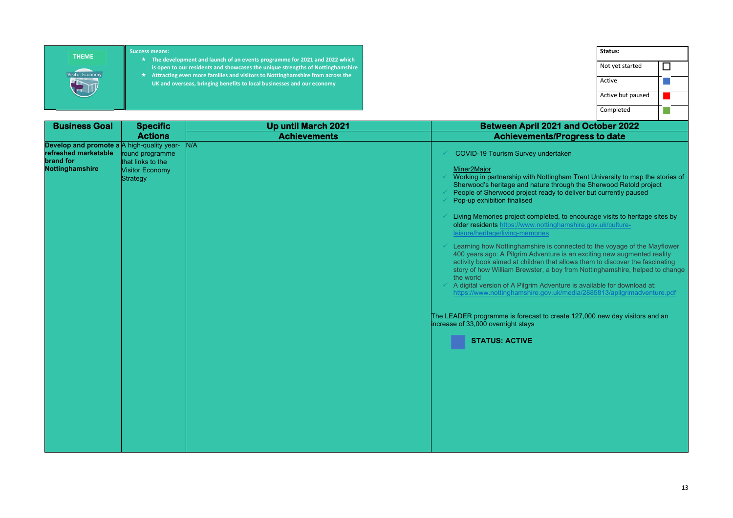| <b>Business Goal</b>                                                                               | <b>Specific</b>                                                                   | <b>Up until March 2021</b> | <b>Between April 2021 and October 2022</b>                                                                                                                                                                                                                                                                                                                                                                          |
|----------------------------------------------------------------------------------------------------|-----------------------------------------------------------------------------------|----------------------------|---------------------------------------------------------------------------------------------------------------------------------------------------------------------------------------------------------------------------------------------------------------------------------------------------------------------------------------------------------------------------------------------------------------------|
|                                                                                                    | <b>Actions</b>                                                                    | <b>Achievements</b>        | <b>Achievements/Progress to date</b>                                                                                                                                                                                                                                                                                                                                                                                |
| Develop and promote a A high-quality year-<br>refreshed marketable<br>brand for<br>Nottinghamshire | round programme<br>that links to the<br><b>Visitor Economy</b><br><b>Strategy</b> | N/A                        | COVID-19 Tourism Survey undertaken<br>Miner2Major<br>Working in partnership with Nottingham Trent University to map<br>Sherwood's heritage and nature through the Sherwood Retold<br>People of Sherwood project ready to deliver but currently paus<br>Pop-up exhibition finalised                                                                                                                                  |
|                                                                                                    |                                                                                   |                            | Living Memories project completed, to encourage visits to herit<br>older residents https://www.nottinghamshire.gov.uk/culture-<br>leisure/heritage/living-memories                                                                                                                                                                                                                                                  |
|                                                                                                    |                                                                                   |                            | Learning how Nottinghamshire is connected to the voyage of th<br>400 years ago: A Pilgrim Adventure is an exciting new augmen<br>activity book aimed at children that allows them to discover the<br>story of how William Brewster, a boy from Nottinghamshire, he<br>the world<br>A digital version of A Pilgrim Adventure is available for downloa<br>https://www.nottinghamshire.gov.uk/media/2885813/apilgrimac |
|                                                                                                    |                                                                                   |                            | The LEADER programme is forecast to create 127,000 new day visito<br>increase of 33,000 overnight stays                                                                                                                                                                                                                                                                                                             |
|                                                                                                    |                                                                                   |                            | <b>STATUS: ACTIVE</b>                                                                                                                                                                                                                                                                                                                                                                                               |
|                                                                                                    |                                                                                   |                            |                                                                                                                                                                                                                                                                                                                                                                                                                     |
|                                                                                                    |                                                                                   |                            |                                                                                                                                                                                                                                                                                                                                                                                                                     |
|                                                                                                    |                                                                                   |                            |                                                                                                                                                                                                                                                                                                                                                                                                                     |
|                                                                                                    |                                                                                   |                            |                                                                                                                                                                                                                                                                                                                                                                                                                     |

| Status:                |  |
|------------------------|--|
| Not yet started        |  |
| Active                 |  |
| Active but paused      |  |
| Completed              |  |
| <b>nd October 2022</b> |  |
| gress to date          |  |
|                        |  |

gham Trent University to map the stories of Trough the Sherwood Retold project to deliver but currently paused

I, to encourage visits to heritage sites by namshire.gov.uk/culture-

connected to the voyage of the Mayflower e is an exciting new augmented reality t allows them to discover the fascinating oy from Nottinghamshire, helped to change

nture is available for download at: k/media/2885813/apilgrimadventure.pdf

 $\epsilon$  reate 127,000 new day visitors and an

#### **Success means:**

- **The development and launch of an events programme for 2021 and 2022 which is open to our residents and showcases the unique strengths of Nottinghamshire**
- **Attracting even more families and visitors to Nottinghamshire from across the UK and overseas, bringing benefits to local businesses and our economy**

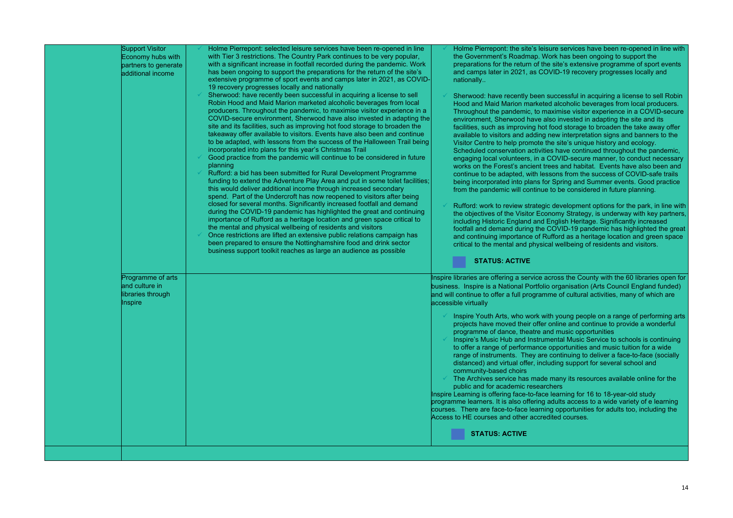|                | Support Visitor<br>Economy hubs with<br>partners to generate<br>additional income | Holme Pierrepont: selected leisure services have been re-opened in line<br>with Tier 3 restrictions. The Country Park continues to be very popular,<br>with a significant increase in footfall recorded during the pandemic. Work<br>has been ongoing to support the preparations for the return of the site's<br>extensive programme of sport events and camps later in 2021, as COVID-<br>19 recovery progresses locally and nationally                                                                                                                                                                                                                                                                                                                                                                                                                                                                                                                                                                                                                                                                                                                                                                                                                                                                                                                                                                                                                                                                        | Holme Pierrepont: the site's leisure services<br>the Government's Roadmap. Work has been<br>preparations for the return of the site's extens<br>and camps later in 2021, as COVID-19 recov<br>nationally                                                                                                                                                                                                                                                                                                                                                                                                                                                                                                                                                                                                                                                                                                                                                                             |
|----------------|-----------------------------------------------------------------------------------|------------------------------------------------------------------------------------------------------------------------------------------------------------------------------------------------------------------------------------------------------------------------------------------------------------------------------------------------------------------------------------------------------------------------------------------------------------------------------------------------------------------------------------------------------------------------------------------------------------------------------------------------------------------------------------------------------------------------------------------------------------------------------------------------------------------------------------------------------------------------------------------------------------------------------------------------------------------------------------------------------------------------------------------------------------------------------------------------------------------------------------------------------------------------------------------------------------------------------------------------------------------------------------------------------------------------------------------------------------------------------------------------------------------------------------------------------------------------------------------------------------------|--------------------------------------------------------------------------------------------------------------------------------------------------------------------------------------------------------------------------------------------------------------------------------------------------------------------------------------------------------------------------------------------------------------------------------------------------------------------------------------------------------------------------------------------------------------------------------------------------------------------------------------------------------------------------------------------------------------------------------------------------------------------------------------------------------------------------------------------------------------------------------------------------------------------------------------------------------------------------------------|
|                |                                                                                   | Sherwood: have recently been successful in acquiring a license to sell<br>Robin Hood and Maid Marion marketed alcoholic beverages from local<br>producers. Throughout the pandemic, to maximise visitor experience in a<br>COVID-secure environment, Sherwood have also invested in adapting the<br>site and its facilities, such as improving hot food storage to broaden the<br>takeaway offer available to visitors. Events have also been and continue<br>to be adapted, with lessons from the success of the Halloween Trail being<br>incorporated into plans for this year's Christmas Trail<br>Good practice from the pandemic will continue to be considered in future<br>planning<br>Rufford: a bid has been submitted for Rural Development Programme<br>funding to extend the Adventure Play Area and put in some toilet facilities;<br>this would deliver additional income through increased secondary<br>spend. Part of the Undercroft has now reopened to visitors after being<br>closed for several months. Significantly increased footfall and demand<br>during the COVID-19 pandemic has highlighted the great and continuing<br>importance of Rufford as a heritage location and green space critical to<br>the mental and physical wellbeing of residents and visitors<br>Once restrictions are lifted an extensive public relations campaign has<br>been prepared to ensure the Nottinghamshire food and drink sector<br>business support toolkit reaches as large an audience as possible | Sherwood: have recently been successful in<br>Hood and Maid Marion marketed alcoholic be<br>Throughout the pandemic, to maximise visito<br>environment, Sherwood have also invested in<br>facilities, such as improving hot food storage<br>available to visitors and adding new interpret.<br>Visitor Centre to help promote the site's unique<br>Scheduled conservation activities have contir<br>engaging local volunteers, in a COVID-secure<br>works on the Forest's ancient trees and habit<br>continue to be adapted, with lessons from the<br>being incorporated into plans for Spring and \;<br>from the pandemic will continue to be consider-<br>Rufford: work to review strategic developmer<br>the objectives of the Visitor Economy Strateg<br>including Historic England and English Herita<br>footfall and demand during the COVID-19 pa<br>and continuing importance of Rufford as a he<br>critical to the mental and physical wellbeing o<br><b>STATUS: ACTIVE</b> |
|                | Programme of arts<br>and culture in<br>libraries through                          |                                                                                                                                                                                                                                                                                                                                                                                                                                                                                                                                                                                                                                                                                                                                                                                                                                                                                                                                                                                                                                                                                                                                                                                                                                                                                                                                                                                                                                                                                                                  | Inspire libraries are offering a service across the Cou<br>business. Inspire is a National Portfolio organisation<br>and will continue to offer a full programme of cultural                                                                                                                                                                                                                                                                                                                                                                                                                                                                                                                                                                                                                                                                                                                                                                                                         |
| <b>Inspire</b> |                                                                                   |                                                                                                                                                                                                                                                                                                                                                                                                                                                                                                                                                                                                                                                                                                                                                                                                                                                                                                                                                                                                                                                                                                                                                                                                                                                                                                                                                                                                                                                                                                                  | accessible virtually<br>Inspire Youth Arts, who work with young peo<br>projects have moved their offer online and co<br>programme of dance, theatre and music oppo<br>Inspire's Music Hub and Instrumental Music &<br>to offer a range of performance opportunities<br>range of instruments. They are continuing to<br>distanced) and virtual offer, including support<br>community-based choirs<br>The Archives service has made many its reso<br>public and for academic researchers<br>Inspire Learning is offering face-to-face learning for<br>programme learners. It is also offering adults access<br>courses. There are face-to-face learning opportunition<br>Access to HE courses and other accredited courses.                                                                                                                                                                                                                                                            |
|                |                                                                                   |                                                                                                                                                                                                                                                                                                                                                                                                                                                                                                                                                                                                                                                                                                                                                                                                                                                                                                                                                                                                                                                                                                                                                                                                                                                                                                                                                                                                                                                                                                                  | <b>STATUS: ACTIVE</b>                                                                                                                                                                                                                                                                                                                                                                                                                                                                                                                                                                                                                                                                                                                                                                                                                                                                                                                                                                |

e services have been re-opened in line with the Government as been ongoing to support the ite's extensive programme of sport events D-19 recovery progresses locally and

cessful in acquiring a license to sell Robin alcoholic beverages from local producers. mise visitor experience in a COVID-secure invested in adapting the site and its od storage to broaden the take away offer w interpretation signs and banners to the site's unique history and ecology.

have continued throughout the pandemic, VID-secure manner, to conduct necessary works on the Forest's ancient trees and habitat. Events have also been and ns from the success of COVID-safe trails pring and Summer events. Good practice be considered in future planning.

> evelopment options for the park, in line with my Strategy, is underway with key partners, ding Historic English Heritage. Significantly increased VID-19 pandemic has highlighted the great and as a heritage location and green space wellbeing of residents and visitors.

> Inspire the County with the 60 libraries open for rganisation (Arts Council England funded)  $\alpha$  of cultural activities, many of which are

> young people on a range of performing arts line and continue to provide a wonderful music opportunities

Ital Music Service to schools is continuing portunities and music tuition for a wide ntinuing to deliver a face-to-face (socially ng support for several school and

any its resources available online for the

arning for 16 to 18-year-old study alts access to a wide variety of e learning opportunities for adults too, including the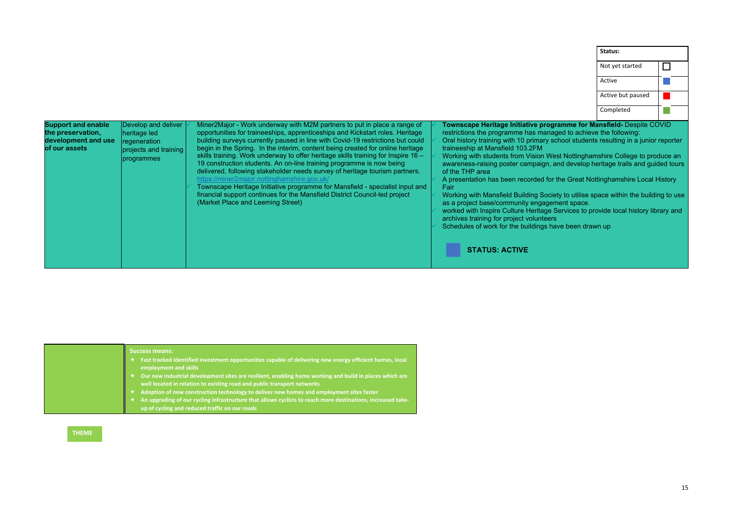| <b>Support and enable</b><br>the preservation,<br>development and use<br>of our assets | Develop and deliver<br>heritage led<br>regeneration<br>projects and training<br>programmes | Miner2Major - Work underway with M2M partners to put in place a range of<br>opportunities for traineeships, apprenticeships and Kickstart roles. Heritage<br>building surveys currently paused in line with Covid-19 restrictions but could<br>begin in the Spring. In the interim, content being created for online heritage<br>skills training. Work underway to offer heritage skills training for Inspire 16 -<br>19 construction students. An on-line training programme is now being<br>delivered, following stakeholder needs survey of heritage tourism partners.<br>https://miner2major.nottinghamshire.gov.uk/<br>Townscape Heritage Initiative programme for Mansfield - specialist input and<br>financial support continues for the Mansfield District Council-led project<br>(Market Place and Leeming Street) |  | Townscape Heritage Initiative programme for Mansfield- Despite COVID<br>restrictions the programme has managed to achieve the following:<br>Oral history training with 10 primary school students resulting in a junior reporter<br>traineeship at Mansfield 103.2FM<br>Working with students from Vision West Nottinghamshire College to produce an<br>awareness-raising poster campaign, and develop heritage trails and quided tours<br>of the THP area<br>A presentation has been recorded for the Great Nottinghamshire Local History<br>Fair<br>Working with Mansfield Building Society to utilise space within the building to use<br>as a project base/community engagement space.<br>worked with Inspire Culture Heritage Services to provide local history library and<br>archives training for project volunteers<br>Schedules of work for the buildings have been drawn up<br><b>STATUS: ACTIVE</b> |
|----------------------------------------------------------------------------------------|--------------------------------------------------------------------------------------------|-----------------------------------------------------------------------------------------------------------------------------------------------------------------------------------------------------------------------------------------------------------------------------------------------------------------------------------------------------------------------------------------------------------------------------------------------------------------------------------------------------------------------------------------------------------------------------------------------------------------------------------------------------------------------------------------------------------------------------------------------------------------------------------------------------------------------------|--|-----------------------------------------------------------------------------------------------------------------------------------------------------------------------------------------------------------------------------------------------------------------------------------------------------------------------------------------------------------------------------------------------------------------------------------------------------------------------------------------------------------------------------------------------------------------------------------------------------------------------------------------------------------------------------------------------------------------------------------------------------------------------------------------------------------------------------------------------------------------------------------------------------------------|
|----------------------------------------------------------------------------------------|--------------------------------------------------------------------------------------------|-----------------------------------------------------------------------------------------------------------------------------------------------------------------------------------------------------------------------------------------------------------------------------------------------------------------------------------------------------------------------------------------------------------------------------------------------------------------------------------------------------------------------------------------------------------------------------------------------------------------------------------------------------------------------------------------------------------------------------------------------------------------------------------------------------------------------------|--|-----------------------------------------------------------------------------------------------------------------------------------------------------------------------------------------------------------------------------------------------------------------------------------------------------------------------------------------------------------------------------------------------------------------------------------------------------------------------------------------------------------------------------------------------------------------------------------------------------------------------------------------------------------------------------------------------------------------------------------------------------------------------------------------------------------------------------------------------------------------------------------------------------------------|

|                                                                                                                                                                                                                                                                                                                                                                                                                                                                                                                                                                                                                                                                                                                                                                                                                | Status:           |  |
|----------------------------------------------------------------------------------------------------------------------------------------------------------------------------------------------------------------------------------------------------------------------------------------------------------------------------------------------------------------------------------------------------------------------------------------------------------------------------------------------------------------------------------------------------------------------------------------------------------------------------------------------------------------------------------------------------------------------------------------------------------------------------------------------------------------|-------------------|--|
|                                                                                                                                                                                                                                                                                                                                                                                                                                                                                                                                                                                                                                                                                                                                                                                                                | Not yet started   |  |
|                                                                                                                                                                                                                                                                                                                                                                                                                                                                                                                                                                                                                                                                                                                                                                                                                | Active            |  |
|                                                                                                                                                                                                                                                                                                                                                                                                                                                                                                                                                                                                                                                                                                                                                                                                                | Active but paused |  |
|                                                                                                                                                                                                                                                                                                                                                                                                                                                                                                                                                                                                                                                                                                                                                                                                                | Completed         |  |
| restrictions the programme has managed to achieve the following:<br>Oral history training with 10 primary school students resulting in a junior reporter<br>traineeship at Mansfield 103.2FM<br>Working with students from Vision West Nottinghamshire College to produce an<br>awareness-raising poster campaign, and develop heritage trails and guided tours<br>of the THP area<br>A presentation has been recorded for the Great Nottinghamshire Local History<br>Fair<br>Working with Mansfield Building Society to utilise space within the building to use<br>as a project base/community engagement space.<br>worked with Inspire Culture Heritage Services to provide local history library and<br>archives training for project volunteers<br>Schedules of work for the buildings have been drawn up |                   |  |
| <b>STATUS: ACTIVE</b>                                                                                                                                                                                                                                                                                                                                                                                                                                                                                                                                                                                                                                                                                                                                                                                          |                   |  |

| <b>Success means:</b><br>Fast tracked identified investment opportunities capable of delivering new energy efficient homes, local<br>employment and skills<br>$\overline{a}$ Our new industrial development sites are resilient, enabling home working and build in places which are<br>well located in relation to existing road and public transport networks<br>Adoption of new construction technology to deliver new homes and employment sites faster |
|-------------------------------------------------------------------------------------------------------------------------------------------------------------------------------------------------------------------------------------------------------------------------------------------------------------------------------------------------------------------------------------------------------------------------------------------------------------|
| An upgrading of our cycling infrastructure that allows cyclists to reach more destinations, increased take-<br>up of cycling and reduced traffic on our roads                                                                                                                                                                                                                                                                                               |

**THEME**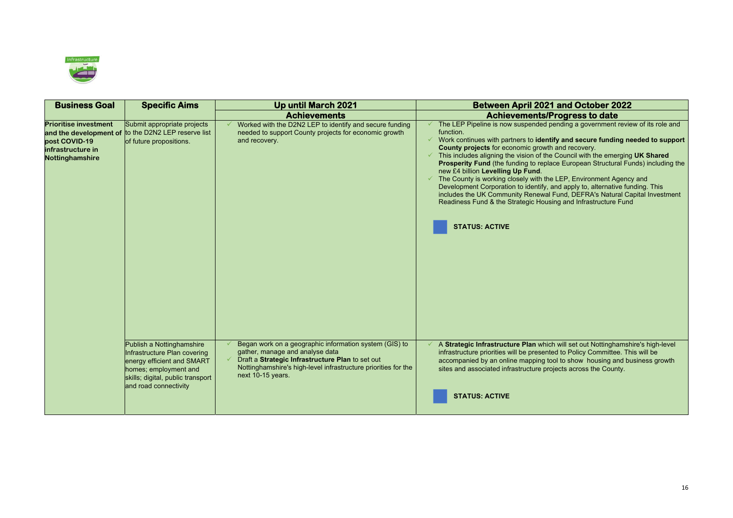

| <b>Business Goal</b>                                                                  | <b>Specific Aims</b>                                                                                                                                                           | <b>Up until March 2021</b>                                                                                                                                                                                                           | <b>Between April 2021 and October 2022</b>                                                                                                                                                                                                                                                                                                                                                                                                                                                                                                                                                                                                                                                                                                                               |  |
|---------------------------------------------------------------------------------------|--------------------------------------------------------------------------------------------------------------------------------------------------------------------------------|--------------------------------------------------------------------------------------------------------------------------------------------------------------------------------------------------------------------------------------|--------------------------------------------------------------------------------------------------------------------------------------------------------------------------------------------------------------------------------------------------------------------------------------------------------------------------------------------------------------------------------------------------------------------------------------------------------------------------------------------------------------------------------------------------------------------------------------------------------------------------------------------------------------------------------------------------------------------------------------------------------------------------|--|
|                                                                                       |                                                                                                                                                                                | <b>Achievements</b>                                                                                                                                                                                                                  | <b>Achievements/Progress to date</b>                                                                                                                                                                                                                                                                                                                                                                                                                                                                                                                                                                                                                                                                                                                                     |  |
| <b>Prioritise investment</b><br>post COVID-19<br>infrastructure in<br>Nottinghamshire | Submit appropriate projects<br>and the development of to the D2N2 LEP reserve list<br>of future propositions.                                                                  | Worked with the D2N2 LEP to identify and secure funding<br>needed to support County projects for economic growth<br>and recovery.                                                                                                    | The LEP Pipeline is now suspended pending a government review of its role and<br>function.<br>Work continues with partners to identify and secure funding needed to support<br>County projects for economic growth and recovery.<br>This includes aligning the vision of the Council with the emerging UK Shared<br>Prosperity Fund (the funding to replace European Structural Funds) including the<br>new £4 billion Levelling Up Fund.<br>The County is working closely with the LEP, Environment Agency and<br>Development Corporation to identify, and apply to, alternative funding. This<br>includes the UK Community Renewal Fund, DEFRA's Natural Capital Investment<br>Readiness Fund & the Strategic Housing and Infrastructure Fund<br><b>STATUS: ACTIVE</b> |  |
|                                                                                       | Publish a Nottinghamshire<br>Infrastructure Plan covering<br>energy efficient and SMART<br>homes; employment and<br>skills; digital, public transport<br>and road connectivity | Began work on a geographic information system (GIS) to<br>gather, manage and analyse data<br>Draft a Strategic Infrastructure Plan to set out<br>Nottinghamshire's high-level infrastructure priorities for the<br>next 10-15 years. | A Strategic Infrastructure Plan which will set out Nottinghamshire's high-level<br>infrastructure priorities will be presented to Policy Committee. This will be<br>accompanied by an online mapping tool to show housing and business growth<br>sites and associated infrastructure projects across the County.<br><b>STATUS: ACTIVE</b>                                                                                                                                                                                                                                                                                                                                                                                                                                |  |

### **Busines And October 2022**

#### **Progress to date**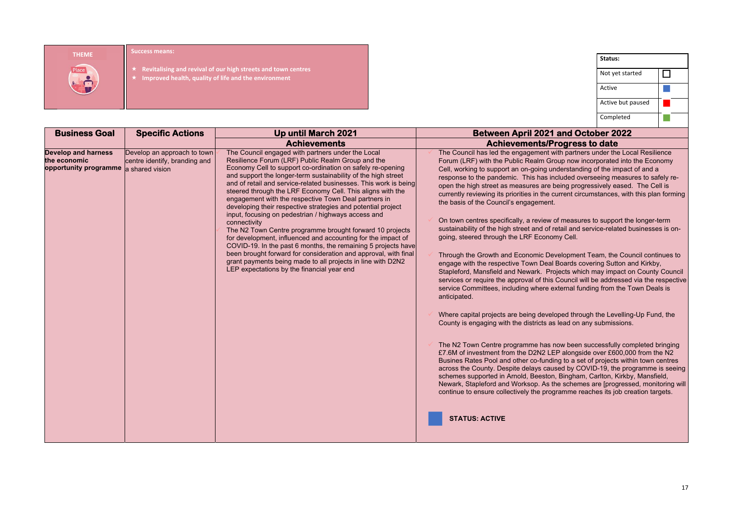- $\bigstar$
- $\bigstar$ **Improved health, quality of life and the environment**

|                                                                                     | <b>Success means:</b>                                        |                                                                                                                                                                                                                                                                                                                                                                                                                                                                                                                                                                                                                                                                                                                                                                                                                                                                                                                                                     |  |                                                                                                                                                                                                                                                                                                                                                                                                                                                                                                                                                                                                                                                                                                                                                                                                                                                                                                                                                                                                                                                                                                                                                                                                                                                                                                                                                                                                                                                                                                                                                                                                                                                                                                                                                                                                                                                                                                                                                                          |                   |        |
|-------------------------------------------------------------------------------------|--------------------------------------------------------------|-----------------------------------------------------------------------------------------------------------------------------------------------------------------------------------------------------------------------------------------------------------------------------------------------------------------------------------------------------------------------------------------------------------------------------------------------------------------------------------------------------------------------------------------------------------------------------------------------------------------------------------------------------------------------------------------------------------------------------------------------------------------------------------------------------------------------------------------------------------------------------------------------------------------------------------------------------|--|--------------------------------------------------------------------------------------------------------------------------------------------------------------------------------------------------------------------------------------------------------------------------------------------------------------------------------------------------------------------------------------------------------------------------------------------------------------------------------------------------------------------------------------------------------------------------------------------------------------------------------------------------------------------------------------------------------------------------------------------------------------------------------------------------------------------------------------------------------------------------------------------------------------------------------------------------------------------------------------------------------------------------------------------------------------------------------------------------------------------------------------------------------------------------------------------------------------------------------------------------------------------------------------------------------------------------------------------------------------------------------------------------------------------------------------------------------------------------------------------------------------------------------------------------------------------------------------------------------------------------------------------------------------------------------------------------------------------------------------------------------------------------------------------------------------------------------------------------------------------------------------------------------------------------------------------------------------------------|-------------------|--------|
| <b>THEME</b>                                                                        |                                                              |                                                                                                                                                                                                                                                                                                                                                                                                                                                                                                                                                                                                                                                                                                                                                                                                                                                                                                                                                     |  |                                                                                                                                                                                                                                                                                                                                                                                                                                                                                                                                                                                                                                                                                                                                                                                                                                                                                                                                                                                                                                                                                                                                                                                                                                                                                                                                                                                                                                                                                                                                                                                                                                                                                                                                                                                                                                                                                                                                                                          | Status:           |        |
| Place<br>$5 - 3$                                                                    |                                                              | Revitalising and revival of our high streets and town centres<br>Improved health, quality of life and the environment                                                                                                                                                                                                                                                                                                                                                                                                                                                                                                                                                                                                                                                                                                                                                                                                                               |  |                                                                                                                                                                                                                                                                                                                                                                                                                                                                                                                                                                                                                                                                                                                                                                                                                                                                                                                                                                                                                                                                                                                                                                                                                                                                                                                                                                                                                                                                                                                                                                                                                                                                                                                                                                                                                                                                                                                                                                          | Not yet started   | $\Box$ |
|                                                                                     |                                                              |                                                                                                                                                                                                                                                                                                                                                                                                                                                                                                                                                                                                                                                                                                                                                                                                                                                                                                                                                     |  |                                                                                                                                                                                                                                                                                                                                                                                                                                                                                                                                                                                                                                                                                                                                                                                                                                                                                                                                                                                                                                                                                                                                                                                                                                                                                                                                                                                                                                                                                                                                                                                                                                                                                                                                                                                                                                                                                                                                                                          | Active            |        |
|                                                                                     |                                                              |                                                                                                                                                                                                                                                                                                                                                                                                                                                                                                                                                                                                                                                                                                                                                                                                                                                                                                                                                     |  |                                                                                                                                                                                                                                                                                                                                                                                                                                                                                                                                                                                                                                                                                                                                                                                                                                                                                                                                                                                                                                                                                                                                                                                                                                                                                                                                                                                                                                                                                                                                                                                                                                                                                                                                                                                                                                                                                                                                                                          | Active but paused |        |
|                                                                                     |                                                              |                                                                                                                                                                                                                                                                                                                                                                                                                                                                                                                                                                                                                                                                                                                                                                                                                                                                                                                                                     |  |                                                                                                                                                                                                                                                                                                                                                                                                                                                                                                                                                                                                                                                                                                                                                                                                                                                                                                                                                                                                                                                                                                                                                                                                                                                                                                                                                                                                                                                                                                                                                                                                                                                                                                                                                                                                                                                                                                                                                                          | Completed         |        |
| <b>Business Goal</b>                                                                | <b>Specific Actions</b>                                      | <b>Up until March 2021</b>                                                                                                                                                                                                                                                                                                                                                                                                                                                                                                                                                                                                                                                                                                                                                                                                                                                                                                                          |  | <b>Between April 2021 and October 2022</b>                                                                                                                                                                                                                                                                                                                                                                                                                                                                                                                                                                                                                                                                                                                                                                                                                                                                                                                                                                                                                                                                                                                                                                                                                                                                                                                                                                                                                                                                                                                                                                                                                                                                                                                                                                                                                                                                                                                               |                   |        |
|                                                                                     |                                                              | <b>Achievements</b>                                                                                                                                                                                                                                                                                                                                                                                                                                                                                                                                                                                                                                                                                                                                                                                                                                                                                                                                 |  | <b>Achievements/Progress to date</b>                                                                                                                                                                                                                                                                                                                                                                                                                                                                                                                                                                                                                                                                                                                                                                                                                                                                                                                                                                                                                                                                                                                                                                                                                                                                                                                                                                                                                                                                                                                                                                                                                                                                                                                                                                                                                                                                                                                                     |                   |        |
| <b>Develop and harness</b><br>the economic<br>opportunity programme a shared vision | Develop an approach to town<br>centre identify, branding and | The Council engaged with partners under the Local<br>Resilience Forum (LRF) Public Realm Group and the<br>Economy Cell to support co-ordination on safely re-opening<br>and support the longer-term sustainability of the high street<br>and of retail and service-related businesses. This work is being<br>steered through the LRF Economy Cell. This aligns with the<br>engagement with the respective Town Deal partners in<br>developing their respective strategies and potential project<br>input, focusing on pedestrian / highways access and<br>connectivity<br>The N2 Town Centre programme brought forward 10 projects<br>for development, influenced and accounting for the impact of<br>COVID-19. In the past 6 months, the remaining 5 projects have<br>been brought forward for consideration and approval, with final<br>grant payments being made to all projects in line with D2N2<br>LEP expectations by the financial year end |  | The Council has led the engagement with partners under the Local Resilience<br>Forum (LRF) with the Public Realm Group now incorporated into the Economy<br>Cell, working to support an on-going understanding of the impact of and a<br>response to the pandemic. This has included overseeing measures to safely re-<br>open the high street as measures are being progressively eased. The Cell is<br>currently reviewing its priorities in the current circumstances, with this plan forming<br>the basis of the Council's engagement.<br>On town centres specifically, a review of measures to support the longer-term<br>sustainability of the high street and of retail and service-related businesses is on-<br>going, steered through the LRF Economy Cell.<br>Through the Growth and Economic Development Team, the Council continues to<br>engage with the respective Town Deal Boards covering Sutton and Kirkby,<br>Stapleford, Mansfield and Newark. Projects which may impact on County Council<br>services or require the approval of this Council will be addressed via the respective<br>service Committees, including where external funding from the Town Deals is<br>anticipated.<br>Where capital projects are being developed through the Levelling-Up Fund, the<br>County is engaging with the districts as lead on any submissions.<br>The N2 Town Centre programme has now been successfully completed bringing<br>£7.6M of investment from the D2N2 LEP alongside over £600,000 from the N2<br>Busines Rates Pool and other co-funding to a set of projects within town centres<br>across the County. Despite delays caused by COVID-19, the programme is seeing<br>schemes supported in Arnold, Beeston, Bingham, Carlton, Kirkby, Mansfield,<br>Newark, Stapleford and Worksop. As the schemes are [progressed, monitoring will<br>continue to ensure collectively the programme reaches its job creation targets.<br><b>STATUS: ACTIVE</b> |                   |        |

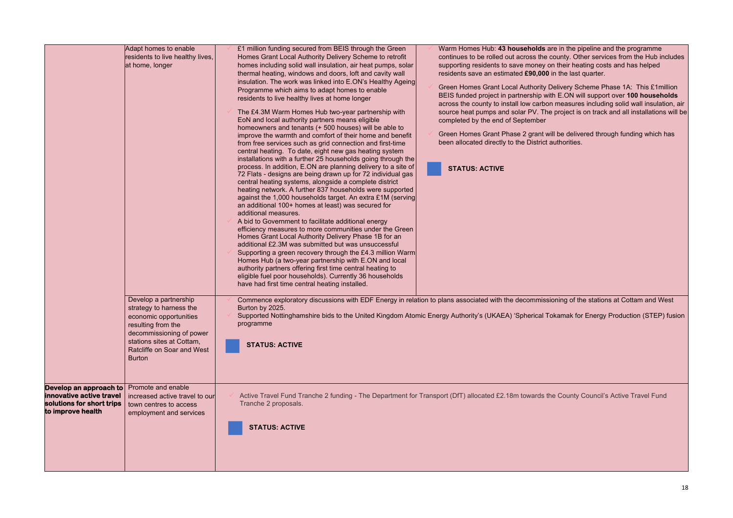**Kamak for Energy Production (STEP) fusion** 

|                                                                            | Adapt homes to enable<br>residents to live healthy lives,<br>at home, longer                                                                                                                             | £1 million funding secured from BEIS through the Green<br>Homes Grant Local Authority Delivery Scheme to retrofit<br>homes including solid wall insulation, air heat pumps, solar<br>thermal heating, windows and doors, loft and cavity wall<br>insulation. The work was linked into E.ON's Healthy Ageing<br>Programme which aims to adapt homes to enable<br>residents to live healthy lives at home longer<br>The £4.3M Warm Homes Hub two-year partnership with<br>EoN and local authority partners means eligible<br>homeowners and tenants (+500 houses) will be able to<br>improve the warmth and comfort of their home and benefit<br>from free services such as grid connection and first-time<br>central heating. To date, eight new gas heating system<br>installations with a further 25 households going through the<br>process. In addition, E.ON are planning delivery to a site of<br>72 Flats - designs are being drawn up for 72 individual gas<br>central heating systems, alongside a complete district<br>heating network. A further 837 households were supported<br>against the 1,000 households target. An extra £1M (serving<br>an additional 100+ homes at least) was secured for<br>additional measures.<br>A bid to Government to facilitate additional energy<br>efficiency measures to more communities under the Green<br>Homes Grant Local Authority Delivery Phase 1B for an<br>additional £2.3M was submitted but was unsuccessful<br>Supporting a green recovery through the £4.3 million Warm<br>Homes Hub (a two-year partnership with E.ON and local<br>authority partners offering first time central heating to<br>eligible fuel poor households). Currently 36 households<br>have had first time central heating installed. | Warm Homes Hub: 43 households are in the pipeline and the programme<br>continues to be rolled out across the county. Other services from the Hub include<br>supporting residents to save money on their heating costs and has helped<br>residents save an estimated £90,000 in the last quarter.<br>Green Homes Grant Local Authority Delivery Scheme Phase 1A: This £1 million<br>BEIS funded project in partnership with E.ON will support over 100 households<br>across the county to install low carbon measures including solid wall insulation, a<br>source heat pumps and solar PV. The project is on track and all installations will<br>completed by the end of September<br>Green Homes Grant Phase 2 grant will be delivered through funding which has<br>been allocated directly to the District authorities.<br><b>STATUS: ACTIVE</b> |
|----------------------------------------------------------------------------|----------------------------------------------------------------------------------------------------------------------------------------------------------------------------------------------------------|-----------------------------------------------------------------------------------------------------------------------------------------------------------------------------------------------------------------------------------------------------------------------------------------------------------------------------------------------------------------------------------------------------------------------------------------------------------------------------------------------------------------------------------------------------------------------------------------------------------------------------------------------------------------------------------------------------------------------------------------------------------------------------------------------------------------------------------------------------------------------------------------------------------------------------------------------------------------------------------------------------------------------------------------------------------------------------------------------------------------------------------------------------------------------------------------------------------------------------------------------------------------------------------------------------------------------------------------------------------------------------------------------------------------------------------------------------------------------------------------------------------------------------------------------------------------------------------------------------------------------------------------------------------------------------------------------------------------------------------------------------------------------|----------------------------------------------------------------------------------------------------------------------------------------------------------------------------------------------------------------------------------------------------------------------------------------------------------------------------------------------------------------------------------------------------------------------------------------------------------------------------------------------------------------------------------------------------------------------------------------------------------------------------------------------------------------------------------------------------------------------------------------------------------------------------------------------------------------------------------------------------|
|                                                                            | Develop a partnership<br>strategy to harness the<br>economic opportunities<br>resulting from the<br>decommissioning of power<br>stations sites at Cottam,<br>Ratcliffe on Soar and West<br><b>Burton</b> | Burton by 2025.<br>programme<br><b>STATUS: ACTIVE</b>                                                                                                                                                                                                                                                                                                                                                                                                                                                                                                                                                                                                                                                                                                                                                                                                                                                                                                                                                                                                                                                                                                                                                                                                                                                                                                                                                                                                                                                                                                                                                                                                                                                                                                                 | Commence exploratory discussions with EDF Energy in relation to plans associated with the decommissioning of the stations at Cottam and West<br>Supported Nottinghamshire bids to the United Kingdom Atomic Energy Authority's (UKAEA) 'Spherical Tokamak for Energy Production (STEP) fusion                                                                                                                                                                                                                                                                                                                                                                                                                                                                                                                                                      |
| innovative active travel<br>solutions for short trips<br>to improve health | <b>Develop an approach to</b> Promote and enable<br>increased active travel to our<br>town centres to access<br>employment and services                                                                  | Tranche 2 proposals.<br><b>STATUS: ACTIVE</b>                                                                                                                                                                                                                                                                                                                                                                                                                                                                                                                                                                                                                                                                                                                                                                                                                                                                                                                                                                                                                                                                                                                                                                                                                                                                                                                                                                                                                                                                                                                                                                                                                                                                                                                         | Active Travel Fund Tranche 2 funding - The Department for Transport (DfT) allocated £2.18m towards the County Council's Active Travel Fund                                                                                                                                                                                                                                                                                                                                                                                                                                                                                                                                                                                                                                                                                                         |

e in the pipeline and the programme ounty. Other services from the Hub includes i their heating costs and has helped **the last quarter.**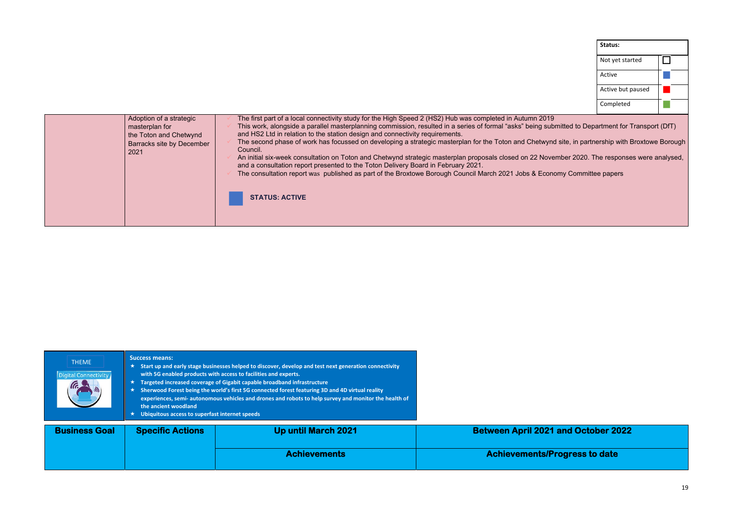| Adoption of a strategic<br>masterplan for<br>the Toton and Chetwynd<br>Barracks site by December<br>2021 | The first part of a local connectivity study for the High Speed 2 (HS2) Hub was completed in Autumn 2019<br>This work, alongside a parallel masterplanning commission, resulted in a series of formal "asks" being subi<br>and HS2 Ltd in relation to the station design and connectivity requirements.<br>The second phase of work has focussed on developing a strategic masterplan for the Toton and Chetwync<br>Council.<br>An initial six-week consultation on Toton and Chetwynd strategic masterplan proposals closed on 22 Nove<br>and a consultation report presented to the Toton Delivery Board in February 2021.<br>The consultation report was published as part of the Broxtowe Borough Council March 2021 Jobs & Econo<br><b>STATUS: ACTIVE</b> |
|----------------------------------------------------------------------------------------------------------|----------------------------------------------------------------------------------------------------------------------------------------------------------------------------------------------------------------------------------------------------------------------------------------------------------------------------------------------------------------------------------------------------------------------------------------------------------------------------------------------------------------------------------------------------------------------------------------------------------------------------------------------------------------------------------------------------------------------------------------------------------------|
|----------------------------------------------------------------------------------------------------------|----------------------------------------------------------------------------------------------------------------------------------------------------------------------------------------------------------------------------------------------------------------------------------------------------------------------------------------------------------------------------------------------------------------------------------------------------------------------------------------------------------------------------------------------------------------------------------------------------------------------------------------------------------------------------------------------------------------------------------------------------------------|

| Status:           |  |
|-------------------|--|
| Not yet started   |  |
| Active            |  |
| Active but paused |  |
| Completed         |  |

onduited to Department for Transport (DfT) nd site, in partnership with Broxtowe Borough vember 2020. The responses were analysed, nomy Committee papers

# **and October 2022**

**Acaly control** 

| <b>THEME</b><br>Digital Connectivity | <b>Success means:</b><br>Start up and early stage businesses helped to discover, develop and test next generation connectivity<br>with 5G enabled products with access to facilities and experts.<br>Targeted increased coverage of Gigabit capable broadband infrastructure<br>Sherwood Forest being the world's first 5G connected forest featuring 3D and 4D virtual reality<br>$\star$<br>experiences, semi- autonomous vehicles and drones and robots to help survey and monitor the health of<br>the ancient woodland<br>Ubiquitous access to superfast internet speeds |                            |                         |
|--------------------------------------|-------------------------------------------------------------------------------------------------------------------------------------------------------------------------------------------------------------------------------------------------------------------------------------------------------------------------------------------------------------------------------------------------------------------------------------------------------------------------------------------------------------------------------------------------------------------------------|----------------------------|-------------------------|
| <b>Business Goal</b>                 | <b>Specific Actions</b>                                                                                                                                                                                                                                                                                                                                                                                                                                                                                                                                                       | <b>Up until March 2021</b> | Between April 2021 a    |
|                                      |                                                                                                                                                                                                                                                                                                                                                                                                                                                                                                                                                                               | <b>Achievements</b>        | <b>Achievements/Pro</b> |